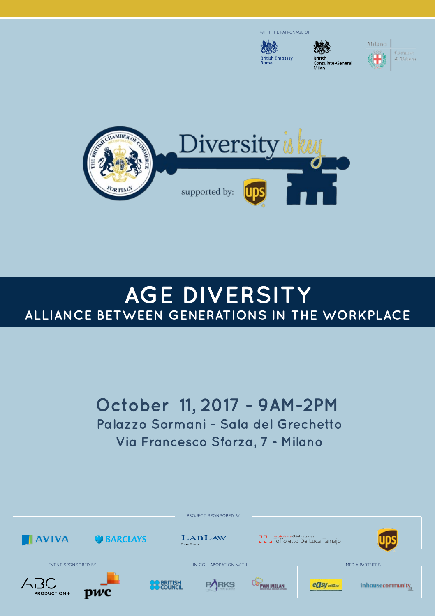

**British Embassy** 



Milano





# **AGE Diversity Alliance between generations in the workplace**

# **October 11, 2017 - 9AM-2PM Palazzo Sormani - Sala del Grechetto Via Francesco Sforza, 7 - Milano**

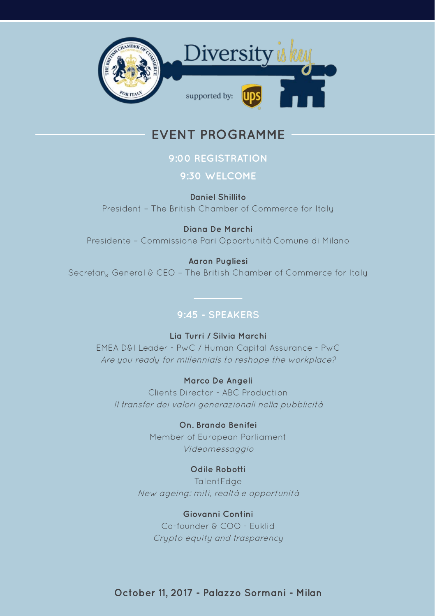

## **Event Programme**

## **9:00 Registration**

### **9:30 Welcome**

**Daniel Shillito**  President – The British Chamber of Commerce for Italy

**Diana De Marchi**  Presidente – Commissione Pari Opportunità Comune di Milano

**Aaron Pugliesi** 

Secretary General & CEO – The British Chamber of Commerce for Italy

## **9:45 - Speakers**

**Lia Turri / Silvia Marchi** EMEA D&I Leader - PwC / Human Capital Assurance - PwC Are you ready for millennials to reshape the workplace?

**Marco De Angeli**  Clients Director - ABC Production Il transfer dei valori generazionali nella pubblicità

> **On. Brando Benifei**  Member of European Parliament Videomessaggio

## **Odile Robotti**

TalentEdge New ageing: miti, realtà e opportunità

### **Giovanni Contini**

Co-founder & COO - Euklid Crypto equity and trasparency

**October 11, 2017 - Palazzo Sormani - Milan**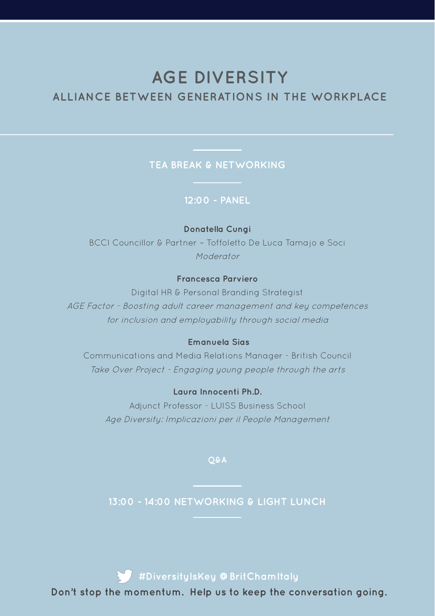## **AGE Diversity**

## **Alliance between generations in the workplace**

## **Tea Break & Networking**

### **12:00 - Panel**

#### **Donatella Cungi**

BCCI Councillor & Partner – Toffoletto De Luca Tamajo e Soci Moderator

### **Francesca Parviero**

Digital HR & Personal Branding Strategist AGE Factor - Boosting adult career management and key competences for inclusion and employability through social media

#### **Emanuela Sias**

Communications and Media Relations Manager - British Council Take Over Project - Engaging young people through the arts

#### **Laura Innocenti Ph.D.**

Adjunct Professor - LUISS Business School Age Diversity: Implicazioni per il People Management

**Q&A**

**13:00 - 14:00 Networking & Light Lunch**

**#DiversityIsKey @BritChamItaly**

**Don't stop the momentum. Help us to keep the conversation going.**